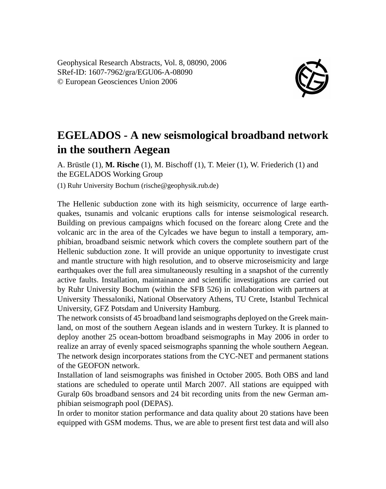Geophysical Research Abstracts, Vol. 8, 08090, 2006 SRef-ID: 1607-7962/gra/EGU06-A-08090 © European Geosciences Union 2006



## **EGELADOS - A new seismological broadband network in the southern Aegean**

A. Brüstle (1), **M. Rische** (1), M. Bischoff (1), T. Meier (1), W. Friederich (1) and the EGELADOS Working Group

(1) Ruhr University Bochum (rische@geophysik.rub.de)

The Hellenic subduction zone with its high seismicity, occurrence of large earthquakes, tsunamis and volcanic eruptions calls for intense seismological research. Building on previous campaigns which focused on the forearc along Crete and the volcanic arc in the area of the Cylcades we have begun to install a temporary, amphibian, broadband seismic network which covers the complete southern part of the Hellenic subduction zone. It will provide an unique opportunity to investigate crust and mantle structure with high resolution, and to observe microseismicity and large earthquakes over the full area simultaneously resulting in a snapshot of the currently active faults. Installation, maintainance and scientific investigations are carried out by Ruhr University Bochum (within the SFB 526) in collaboration with partners at University Thessaloniki, National Observatory Athens, TU Crete, Istanbul Technical University, GFZ Potsdam and University Hamburg.

The network consists of 45 broadband land seismographs deployed on the Greek mainland, on most of the southern Aegean islands and in western Turkey. It is planned to deploy another 25 ocean-bottom broadband seismographs in May 2006 in order to realize an array of evenly spaced seismographs spanning the whole southern Aegean. The network design incorporates stations from the CYC-NET and permanent stations of the GEOFON network.

Installation of land seismographs was finished in October 2005. Both OBS and land stations are scheduled to operate until March 2007. All stations are equipped with Guralp 60s broadband sensors and 24 bit recording units from the new German amphibian seismograph pool (DEPAS).

In order to monitor station performance and data quality about 20 stations have been equipped with GSM modems. Thus, we are able to present first test data and will also